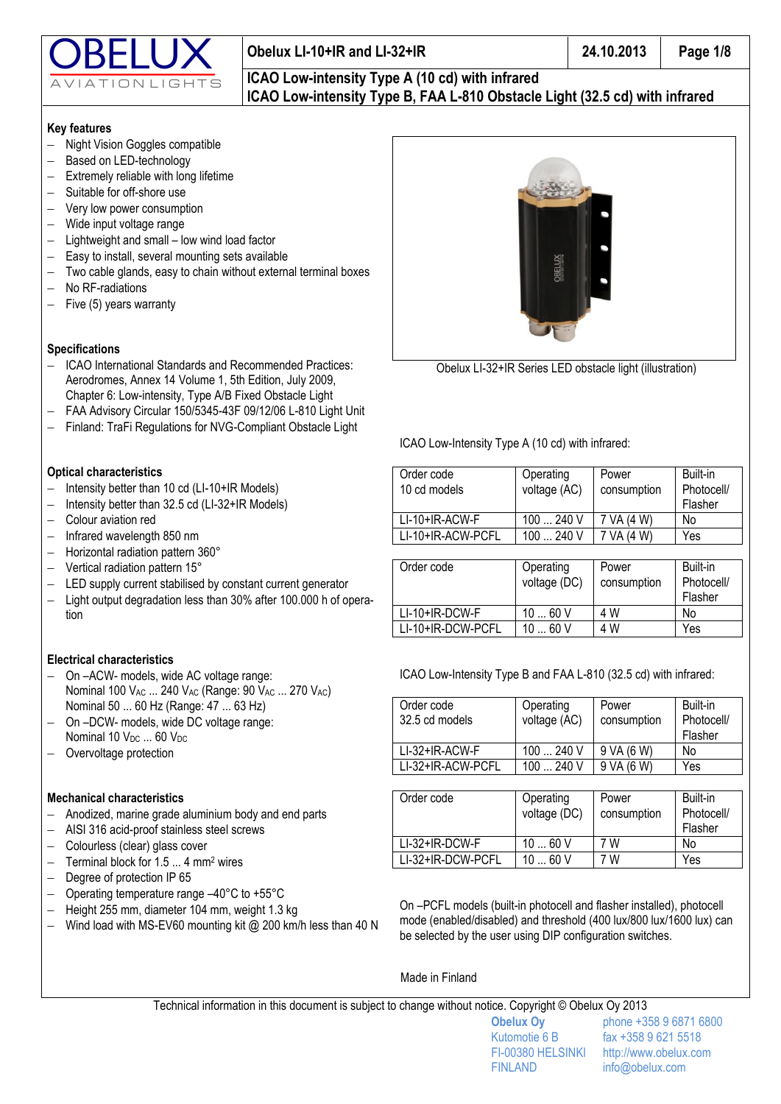

# **Obelux LI-10+IR and LI-32+IR 24.10.2013 Page 1/8**

## **ICAO Low-intensity Type A (10 cd) with infrared ICAO Low-intensity Type B, FAA L-810 Obstacle Light (32.5 cd) with infrared**

### **Key features**

- Night Vision Goggles compatible
- Based on LED-technology
- Extremely reliable with long lifetime
- Suitable for off-shore use
- Very low power consumption
- Wide input voltage range
- Lightweight and small low wind load factor
- Easy to install, several mounting sets available
- Two cable glands, easy to chain without external terminal boxes
- No RF-radiations
- Five (5) years warranty

### **Specifications**

- ICAO International Standards and Recommended Practices: Aerodromes, Annex 14 Volume 1, 5th Edition, July 2009, Chapter 6: Low-intensity, Type A/B Fixed Obstacle Light
- FAA Advisory Circular 150/5345-43F 09/12/06 L-810 Light Unit
- Finland: TraFi Regulations for NVG-Compliant Obstacle Light

### **Optical characteristics**

- Intensity better than 10 cd (LI-10+IR Models)
- Intensity better than 32.5 cd (LI-32+IR Models)
- Colour aviation red
- Infrared wavelength 850 nm
- Horizontal radiation pattern 360°
- Vertical radiation pattern 15°
- LED supply current stabilised by constant current generator
- Light output degradation less than 30% after 100.000 h of operation

### **Electrical characteristics**

- On –ACW- models, wide AC voltage range: Nominal 100 VAC ... 240 VAC (Range: 90 VAC ... 270 VAC) Nominal 50 ... 60 Hz (Range: 47 ... 63 Hz)
- On –DCW- models, wide DC voltage range: Nominal 10 V<sub>DC</sub> ... 60 V<sub>DC</sub>
- Overvoltage protection

### **Mechanical characteristics**

- Anodized, marine grade aluminium body and end parts
- AISI 316 acid-proof stainless steel screws
- Colourless (clear) glass cover
- Terminal block for 1.5 ... 4 mm<sup>2</sup> wires
- Degree of protection IP 65
- Operating temperature range –40°C to +55°C
- Height 255 mm, diameter 104 mm, weight 1.3 kg
- Wind load with MS-EV60 mounting kit @ 200 km/h less than 40 N



Obelux LI-32+IR Series LED obstacle light (illustration)

ICAO Low-Intensity Type A (10 cd) with infrared:

| Order code<br>10 cd models | Operating<br>voltage (AC) | Power<br>consumption | Built-in<br>Photocell/<br>Flasher |
|----------------------------|---------------------------|----------------------|-----------------------------------|
| $LI-10+IR-ACW-F$           | $100 - 240$ V             | 7 VA (4 W)           | No                                |
| LI-10+IR-ACW-PCFL          | $100 - 240$ V             | 7 VA (4 W)           | Yes                               |
|                            |                           |                      |                                   |
| Order code                 | ∩naratina                 | <b>Dower</b>         | <b>Ruilt-in</b>                   |

| Operating    | Power       | Built-in   |
|--------------|-------------|------------|
| voltage (DC) | consumption | Photocell/ |
|              |             | Flasher    |
| 10<br>60 V   | 4 W         | No         |
| 10<br>60 V   | 4 W         | Yes        |
|              |             |            |

ICAO Low-Intensity Type B and FAA L-810 (32.5 cd) with infrared:

| Order code<br>32.5 cd models | Operating<br>voltage (AC) | Power<br>consumption | Built-in<br>Photocell/<br>Flasher |
|------------------------------|---------------------------|----------------------|-----------------------------------|
| $LI-32+IR-ACW-F$             | $100 - 240$ V             | 9 VA (6 W)           | No                                |
| LI-32+IR-ACW-PCFL            | 100  240 V                | $9 VA$ (6 W)         | Yes                               |

| Order code        | Operating<br>voltage (DC) | Power<br>consumption | Built-in<br>Photocell/<br>Flasher |
|-------------------|---------------------------|----------------------|-----------------------------------|
| LI-32+IR-DCW-F    | 60 V<br>10                | 7 W                  | No                                |
| LI-32+IR-DCW-PCFL | 10 <sup>1</sup><br>60 V   | 7 W                  | Yes                               |

On –PCFL models (built-in photocell and flasher installed), photocell mode (enabled/disabled) and threshold (400 lux/800 lux/1600 lux) can be selected by the user using DIP configuration switches.

#### Made in Finland

Technical information in this document is subject to change without notice. Copyright © Obelux Oy 2013

FINLAND info@obelux.com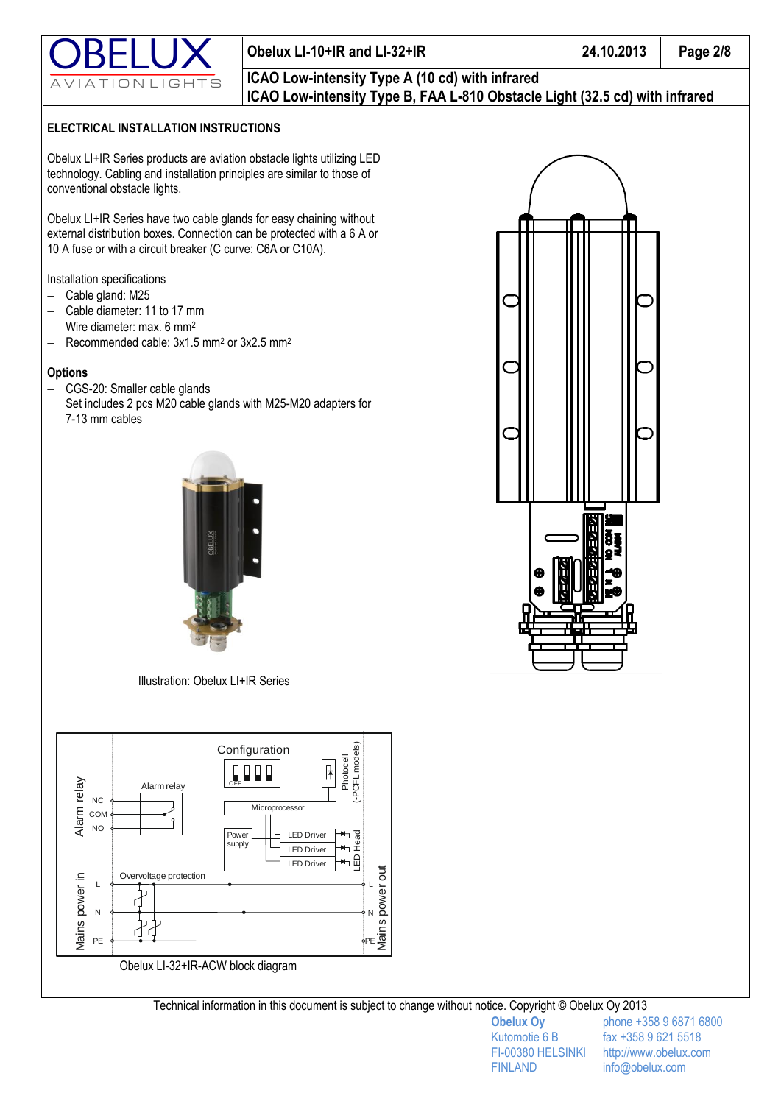

# **Obelux LI-10+IR and LI-32+IR 24.10.2013 Page 2/8**

# **ICAO Low-intensity Type A (10 cd) with infrared ICAO Low-intensity Type B, FAA L-810 Obstacle Light (32.5 cd) with infrared**

# **ELECTRICAL INSTALLATION INSTRUCTIONS**

Obelux LI+IR Series products are aviation obstacle lights utilizing LED technology. Cabling and installation principles are similar to those of conventional obstacle lights.

Obelux LI+IR Series have two cable glands for easy chaining without external distribution boxes. Connection can be protected with a 6 A or 10 A fuse or with a circuit breaker (C curve: C6A or C10A).

## Installation specifications

- Cable gland: M25
- Cable diameter: 11 to 17 mm
- Wire diameter: max. 6 mm<sup>2</sup>
- Recommended cable: 3x1.5 mm<sup>2</sup> or 3x2.5 mm<sup>2</sup>

## **Options**

 CGS-20: Smaller cable glands Set includes 2 pcs M20 cable glands with M25-M20 adapters for 7-13 mm cables





Illustration: Obelux LI+IR Series



Technical information in this document is subject to change without notice. Copyright © Obelux Oy 2013

FINLAND info@obelux.com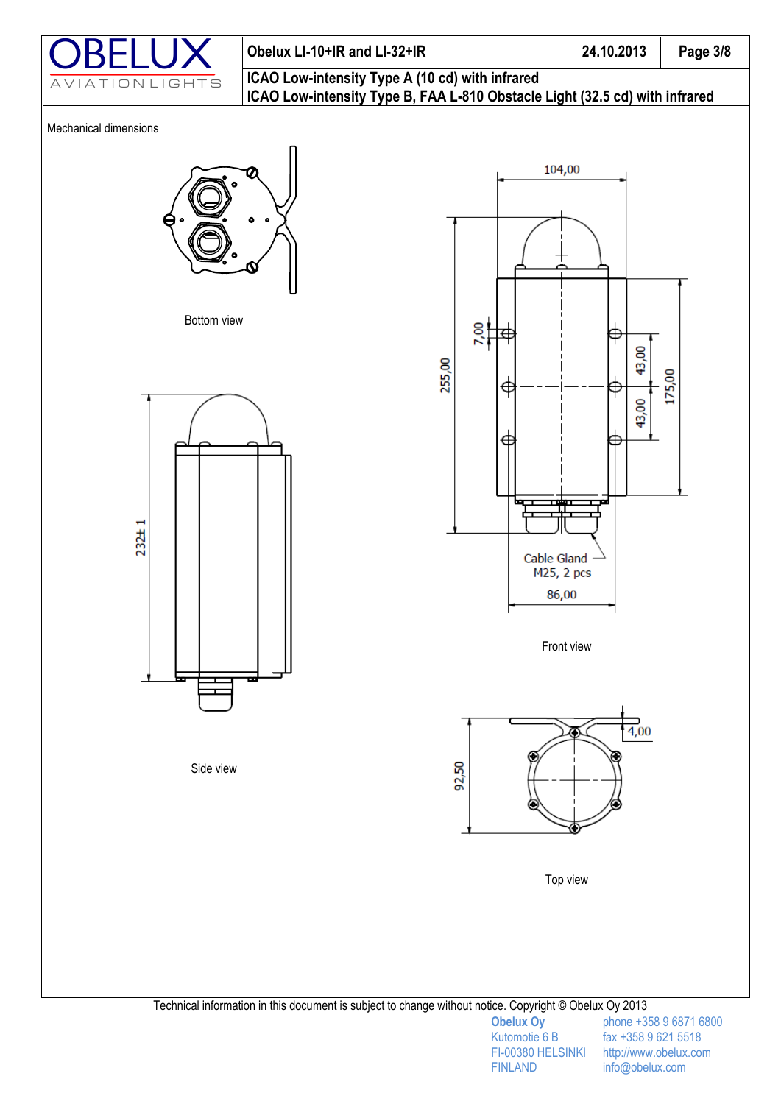

# **Obelux LI-10+IR and LI-32+IR 24.10.2013 Page 3/8 ICAO Low-intensity Type A (10 cd) with infrared ICAO Low-intensity Type B, FAA L-810 Obstacle Light (32.5 cd) with infrared**

#### Mechanical dimensions



Bottom view



Side view





Top view

Technical information in this document is subject to change without notice. Copyright © Obelux Oy 2013

FINLAND info@obelux.com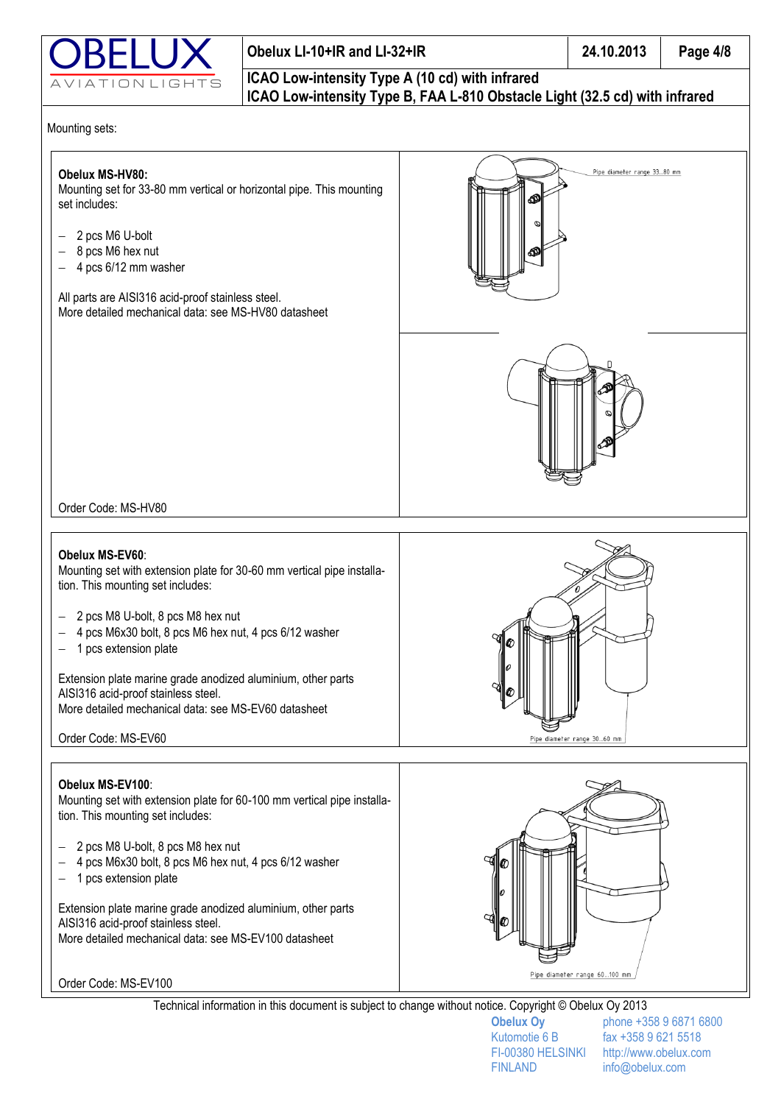

## **Obelux LI-10+IR and LI-32+IR 24.10.2013 Page 4/8**

## **ICAO Low-intensity Type A (10 cd) with infrared ICAO Low-intensity Type B, FAA L-810 Obstacle Light (32.5 cd) with infrared**

Mounting sets:



Technical information in this document is subject to change without notice. Copyright © Obelux Oy 2013

FINLAND info@obelux.com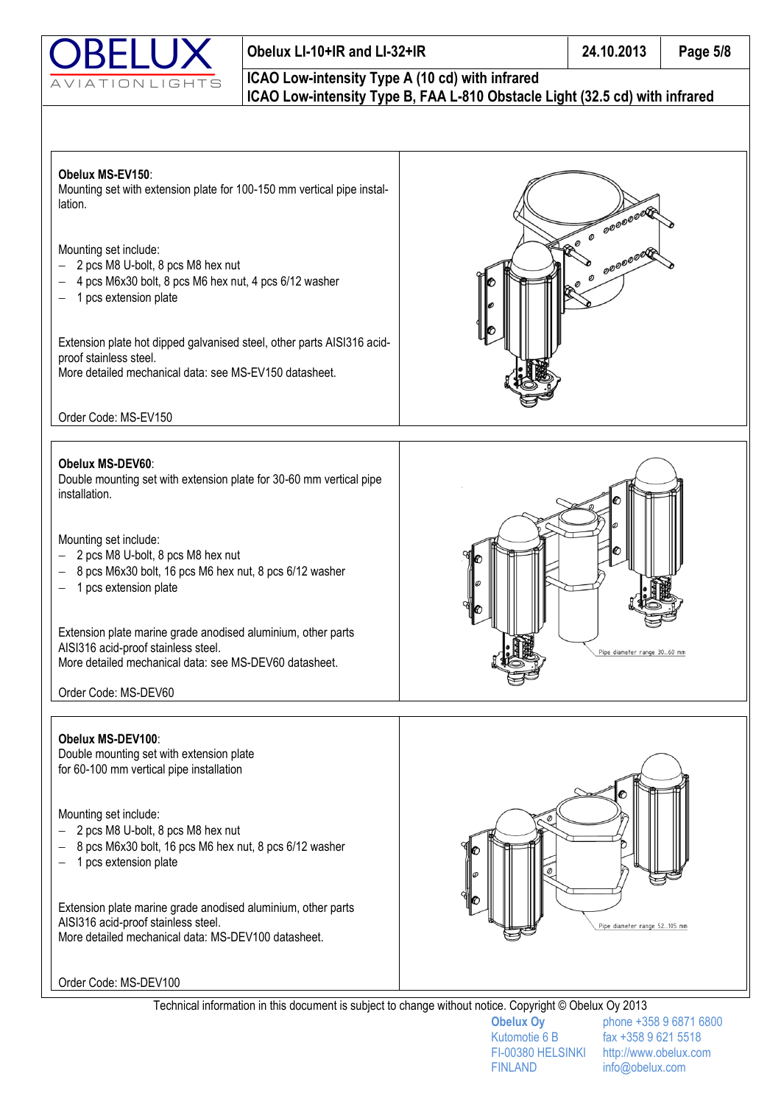

# **Obelux LI-10+IR and LI-32+IR 24.10.2013 Page 5/8**

## **ICAO Low-intensity Type A (10 cd) with infrared ICAO Low-intensity Type B, FAA L-810 Obstacle Light (32.5 cd) with infrared**



Technical information in this document is subject to change without notice. Copyright © Obelux Oy 2013

FINLAND info@obelux.com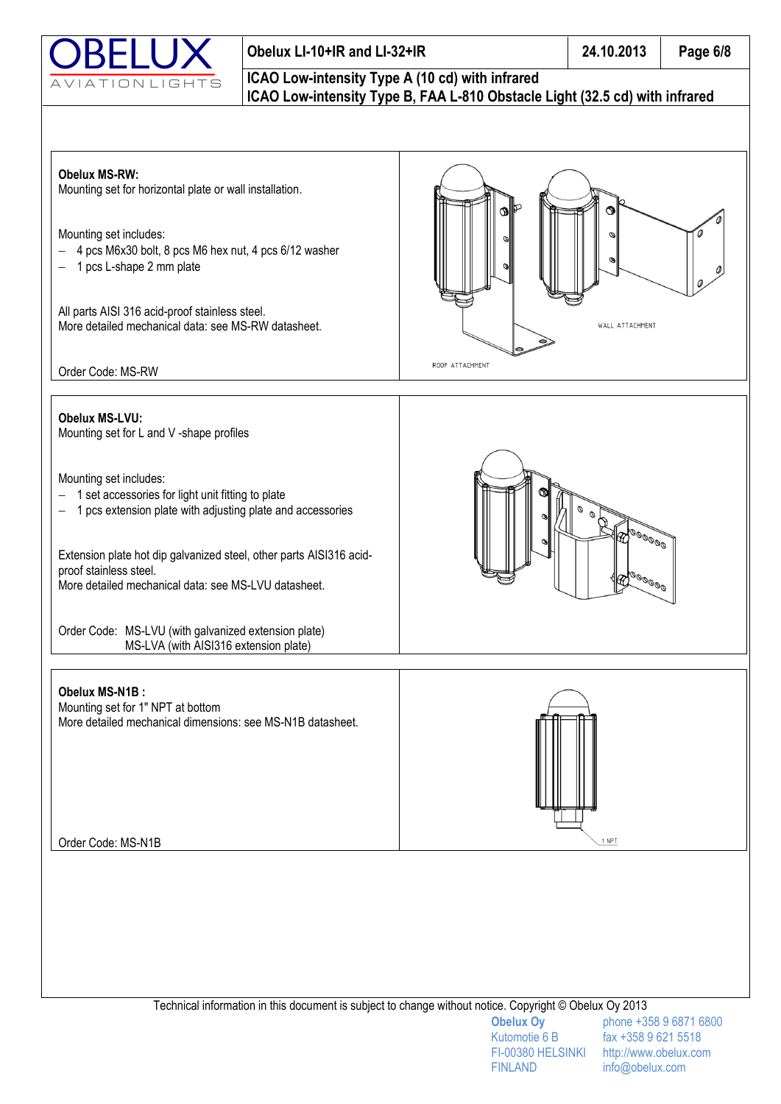

# **Obelux LI-10+IR and LI-32+IR 24.10.2013 Page 6/8**

Kutomotie 6 B fax +358 9 621 5518 FI-00380 HELSINKI http://www.obelux.com FINLAND info@obelux.com

## **ICAO Low-intensity Type A (10 cd) with infrared ICAO Low-intensity Type B, FAA L-810 Obstacle Light (32.5 cd) with infrared**

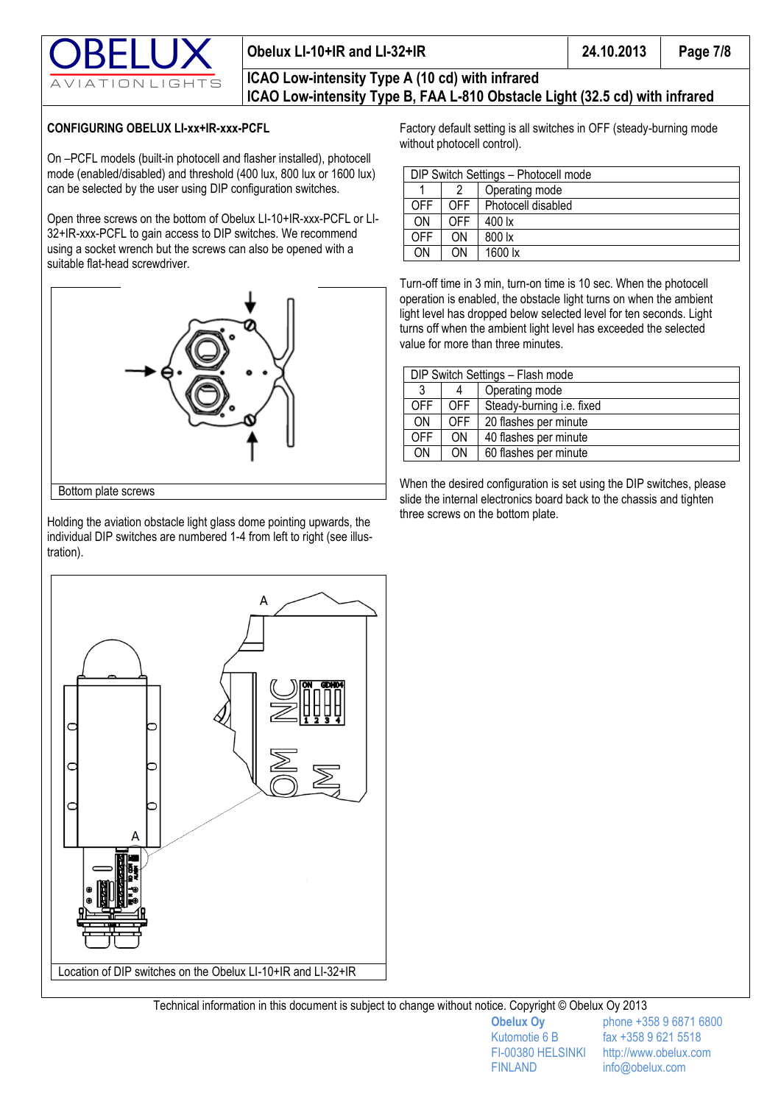



## **ICAO Low-intensity Type A (10 cd) with infrared ICAO Low-intensity Type B, FAA L-810 Obstacle Light (32.5 cd) with infrared**

### **CONFIGURING OBELUX LI-xx+IR-xxx-PCFL**

On –PCFL models (built-in photocell and flasher installed), photocell mode (enabled/disabled) and threshold (400 lux, 800 lux or 1600 lux) can be selected by the user using DIP configuration switches.

Open three screws on the bottom of Obelux LI-10+IR-xxx-PCFL or LI-32+IR-xxx-PCFL to gain access to DIP switches. We recommend using a socket wrench but the screws can also be opened with a suitable flat-head screwdriver.



Bottom plate screws

Holding the aviation obstacle light glass dome pointing upwards, the individual DIP switches are numbered 1-4 from left to right (see illustration).



Factory default setting is all switches in OFF (steady-burning mode without photocell control).

| DIP Switch Settings - Photocell mode |      |                    |
|--------------------------------------|------|--------------------|
|                                      |      | Operating mode     |
| ገFF                                  | OFF. | Photocell disabled |
| ΟN                                   | ∩FF  | 400 lx             |
| ገFF                                  | OΝ   | 800 lx             |
| OΝ                                   | ωN   | $1600 \text{ lx}$  |

Turn-off time in 3 min, turn-on time is 10 sec. When the photocell operation is enabled, the obstacle light turns on when the ambient light level has dropped below selected level for ten seconds. Light turns off when the ambient light level has exceeded the selected value for more than three minutes.

|            | DIP Switch Settings - Flash mode |                           |  |
|------------|----------------------------------|---------------------------|--|
| 3          |                                  | Operating mode            |  |
| OFF        | OFF.                             | Steady-burning i.e. fixed |  |
| ΟN         | OFF.                             | 20 flashes per minute     |  |
| <b>OFF</b> | ΩN                               | 40 flashes per minute     |  |
| ON         | ΟN                               | 60 flashes per minute     |  |

When the desired configuration is set using the DIP switches, please slide the internal electronics board back to the chassis and tighten three screws on the bottom plate.

Technical information in this document is subject to change without notice. Copyright © Obelux Oy 2013

FINLAND info@obelux.com